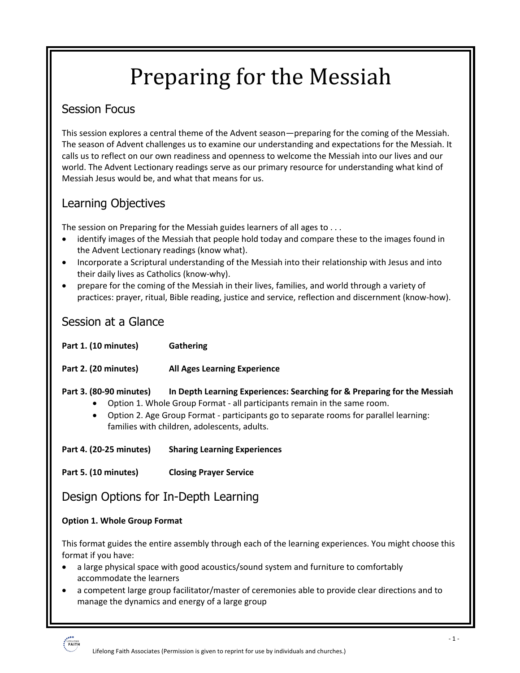# Preparing for the Messiah

## Session Focus

This session explores a central theme of the Advent season—preparing for the coming of the Messiah. The season of Advent challenges us to examine our understanding and expectations for the Messiah. It calls us to reflect on our own readiness and openness to welcome the Messiah into our lives and our world. The Advent Lectionary readings serve as our primary resource for understanding what kind of Messiah Jesus would be, and what that means for us.

# Learning Objectives

The session on Preparing for the Messiah guides learners of all ages to . . .

- identify images of the Messiah that people hold today and compare these to the images found in the Advent Lectionary readings (know what).
- Incorporate a Scriptural understanding of the Messiah into their relationship with Jesus and into their daily lives as Catholics (know-why).
- prepare for the coming of the Messiah in their lives, families, and world through a variety of practices: prayer, ritual, Bible reading, justice and service, reflection and discernment (know-how).

### Session at a Glance

| Part 1. (10 minutes)                                                                                                                                                                                                                                                                                                                  | Gathering                           |
|---------------------------------------------------------------------------------------------------------------------------------------------------------------------------------------------------------------------------------------------------------------------------------------------------------------------------------------|-------------------------------------|
| Part 2. (20 minutes)                                                                                                                                                                                                                                                                                                                  | <b>All Ages Learning Experience</b> |
| Part 3. (80-90 minutes)<br>In Depth Learning Experiences: Searching for & Preparing for the Messiah<br>Option 1. Whole Group Format - all participants remain in the same room.<br>Option 2. Age Group Format - participants go to separate rooms for parallel learning:<br>$\bullet$<br>families with children, adolescents, adults. |                                     |
| Part 4. (20-25 minutes)                                                                                                                                                                                                                                                                                                               | <b>Sharing Learning Experiences</b> |
| Part 5. (10 minutes)                                                                                                                                                                                                                                                                                                                  | <b>Closing Prayer Service</b>       |
| Design Options for In-Depth Learning                                                                                                                                                                                                                                                                                                  |                                     |
| <b>Option 1. Whole Group Format</b>                                                                                                                                                                                                                                                                                                   |                                     |
| This format guides the entire assembly through each of the learning experiences. You might choose this                                                                                                                                                                                                                                |                                     |

format if you have:

- a large physical space with good acoustics/sound system and furniture to comfortably accommodate the learners
- a competent large group facilitator/master of ceremonies able to provide clear directions and to manage the dynamics and energy of a large group

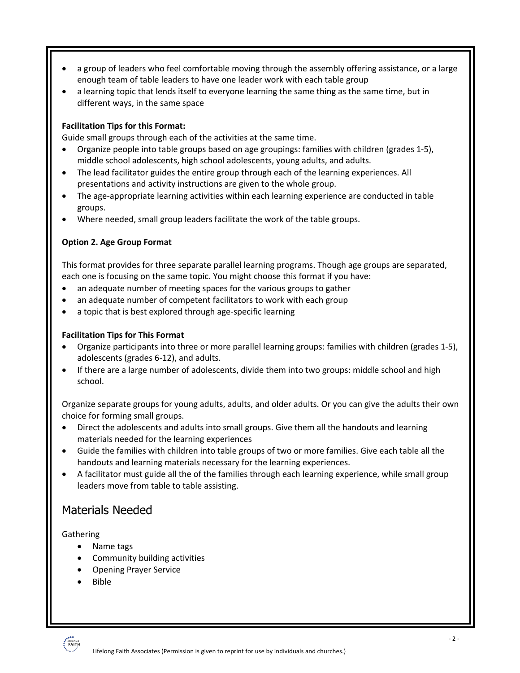- a group of leaders who feel comfortable moving through the assembly offering assistance, or a large enough team of table leaders to have one leader work with each table group
- a learning topic that lends itself to everyone learning the same thing as the same time, but in different ways, in the same space

#### **Facilitation Tips for this Format:**

Guide small groups through each of the activities at the same time.

- Organize people into table groups based on age groupings: families with children (grades 1-5), middle school adolescents, high school adolescents, young adults, and adults.
- The lead facilitator guides the entire group through each of the learning experiences. All presentations and activity instructions are given to the whole group.
- The age-appropriate learning activities within each learning experience are conducted in table groups.
- Where needed, small group leaders facilitate the work of the table groups.

#### **Option 2. Age Group Format**

This format provides for three separate parallel learning programs. Though age groups are separated, each one is focusing on the same topic. You might choose this format if you have:

- an adequate number of meeting spaces for the various groups to gather
- an adequate number of competent facilitators to work with each group
- a topic that is best explored through age-specific learning

#### **Facilitation Tips for This Format**

- Organize participants into three or more parallel learning groups: families with children (grades 1-5), adolescents (grades 6-12), and adults.
- If there are a large number of adolescents, divide them into two groups: middle school and high school.

Organize separate groups for young adults, adults, and older adults. Or you can give the adults their own choice for forming small groups.

- Direct the adolescents and adults into small groups. Give them all the handouts and learning materials needed for the learning experiences
- Guide the families with children into table groups of two or more families. Give each table all the handouts and learning materials necessary for the learning experiences.
- A facilitator must guide all the of the families through each learning experience, while small group leaders move from table to table assisting.

### Materials Needed

**Gathering** 

- Name tags
	- Community building activities
	- Opening Prayer Service
	- Bible

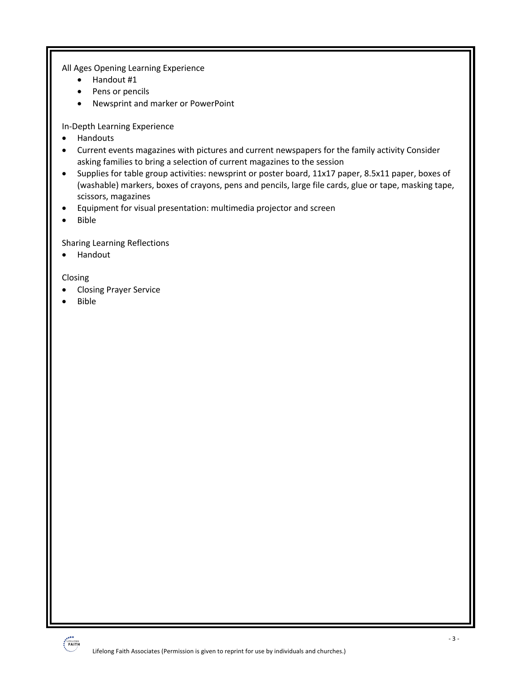All Ages Opening Learning Experience

- Handout #1
- Pens or pencils
- Newsprint and marker or PowerPoint

In-Depth Learning Experience

- Handouts
- Current events magazines with pictures and current newspapers for the family activity Consider asking families to bring a selection of current magazines to the session
- Supplies for table group activities: newsprint or poster board, 11x17 paper, 8.5x11 paper, boxes of (washable) markers, boxes of crayons, pens and pencils, large file cards, glue or tape, masking tape, scissors, magazines
- Equipment for visual presentation: multimedia projector and screen
- Bible

Sharing Learning Reflections

• Handout

Closing

- Closing Prayer Service
- Bible

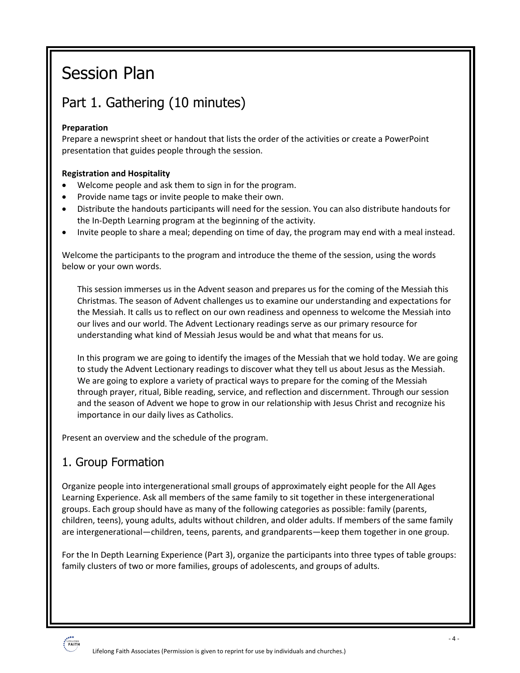# Session Plan

# Part 1. Gathering (10 minutes)

#### **Preparation**

Prepare a newsprint sheet or handout that lists the order of the activities or create a PowerPoint presentation that guides people through the session.

#### **Registration and Hospitality**

- Welcome people and ask them to sign in for the program.
- Provide name tags or invite people to make their own.
- Distribute the handouts participants will need for the session. You can also distribute handouts for the In-Depth Learning program at the beginning of the activity.
- Invite people to share a meal; depending on time of day, the program may end with a meal instead.

Welcome the participants to the program and introduce the theme of the session, using the words below or your own words.

This session immerses us in the Advent season and prepares us for the coming of the Messiah this Christmas. The season of Advent challenges us to examine our understanding and expectations for the Messiah. It calls us to reflect on our own readiness and openness to welcome the Messiah into our lives and our world. The Advent Lectionary readings serve as our primary resource for understanding what kind of Messiah Jesus would be and what that means for us.

In this program we are going to identify the images of the Messiah that we hold today. We are going to study the Advent Lectionary readings to discover what they tell us about Jesus as the Messiah. We are going to explore a variety of practical ways to prepare for the coming of the Messiah through prayer, ritual, Bible reading, service, and reflection and discernment. Through our session and the season of Advent we hope to grow in our relationship with Jesus Christ and recognize his importance in our daily lives as Catholics.

Present an overview and the schedule of the program.

# 1. Group Formation

Organize people into intergenerational small groups of approximately eight people for the All Ages Learning Experience. Ask all members of the same family to sit together in these intergenerational groups. Each group should have as many of the following categories as possible: family (parents, children, teens), young adults, adults without children, and older adults. If members of the same family are intergenerational—children, teens, parents, and grandparents—keep them together in one group.

For the In Depth Learning Experience (Part 3), organize the participants into three types of table groups: family clusters of two or more families, groups of adolescents, and groups of adults.

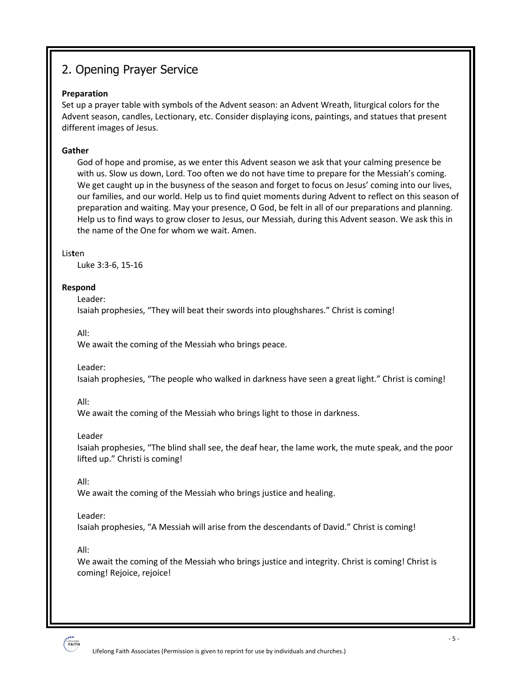# 2. Opening Prayer Service

#### **Preparation**

Set up a prayer table with symbols of the Advent season: an Advent Wreath, liturgical colors for the Advent season, candles, Lectionary, etc. Consider displaying icons, paintings, and statues that present different images of Jesus.

#### **Gather**

God of hope and promise, as we enter this Advent season we ask that your calming presence be with us. Slow us down, Lord. Too often we do not have time to prepare for the Messiah's coming. We get caught up in the busyness of the season and forget to focus on Jesus' coming into our lives, our families, and our world. Help us to find quiet moments during Advent to reflect on this season of preparation and waiting. May your presence, O God, be felt in all of our preparations and planning. Help us to find ways to grow closer to Jesus, our Messiah, during this Advent season. We ask this in the name of the One for whom we wait. Amen.

#### Lis**t**en

Luke 3:3-6, 15-16

#### **Respond**

Leader:

Isaiah prophesies, "They will beat their swords into ploughshares." Christ is coming!

All:

We await the coming of the Messiah who brings peace.

Leader:

Isaiah prophesies, "The people who walked in darkness have seen a great light." Christ is coming!

All:

We await the coming of the Messiah who brings light to those in darkness.

Leader

Isaiah prophesies, "The blind shall see, the deaf hear, the lame work, the mute speak, and the poor lifted up." Christi is coming!

All:

We await the coming of the Messiah who brings justice and healing.

#### Leader:

Isaiah prophesies, "A Messiah will arise from the descendants of David." Christ is coming!

All:

We await the coming of the Messiah who brings justice and integrity. Christ is coming! Christ is coming! Rejoice, rejoice!

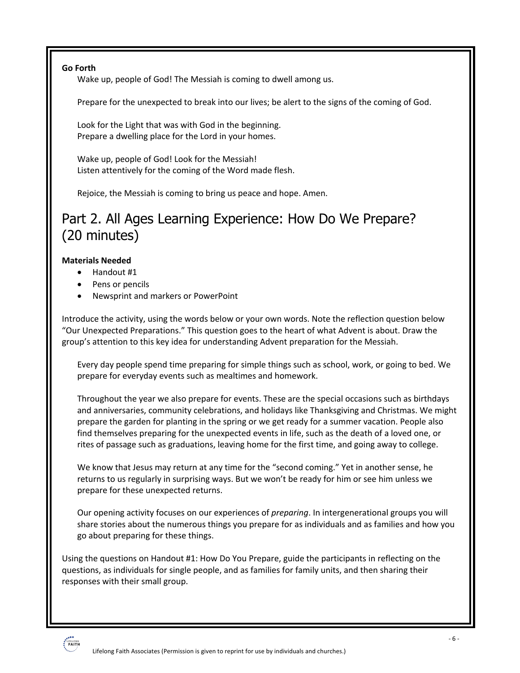**Go Forth**

Wake up, people of God! The Messiah is coming to dwell among us.

Prepare for the unexpected to break into our lives; be alert to the signs of the coming of God.

Look for the Light that was with God in the beginning. Prepare a dwelling place for the Lord in your homes.

Wake up, people of God! Look for the Messiah! Listen attentively for the coming of the Word made flesh.

Rejoice, the Messiah is coming to bring us peace and hope. Amen.

# Part 2. All Ages Learning Experience: How Do We Prepare? (20 minutes)

#### **Materials Needed**

- Handout #1
- Pens or pencils
- Newsprint and markers or PowerPoint

Introduce the activity, using the words below or your own words. Note the reflection question below "Our Unexpected Preparations." This question goes to the heart of what Advent is about. Draw the group's attention to this key idea for understanding Advent preparation for the Messiah.

Every day people spend time preparing for simple things such as school, work, or going to bed. We prepare for everyday events such as mealtimes and homework.

Throughout the year we also prepare for events. These are the special occasions such as birthdays and anniversaries, community celebrations, and holidays like Thanksgiving and Christmas. We might prepare the garden for planting in the spring or we get ready for a summer vacation. People also find themselves preparing for the unexpected events in life, such as the death of a loved one, or rites of passage such as graduations, leaving home for the first time, and going away to college.

We know that Jesus may return at any time for the "second coming." Yet in another sense, he returns to us regularly in surprising ways. But we won't be ready for him or see him unless we prepare for these unexpected returns.

Our opening activity focuses on our experiences of *preparing*. In intergenerational groups you will share stories about the numerous things you prepare for as individuals and as families and how you go about preparing for these things.

Using the questions on Handout #1: How Do You Prepare, guide the participants in reflecting on the questions, as individuals for single people, and as families for family units, and then sharing their responses with their small group.

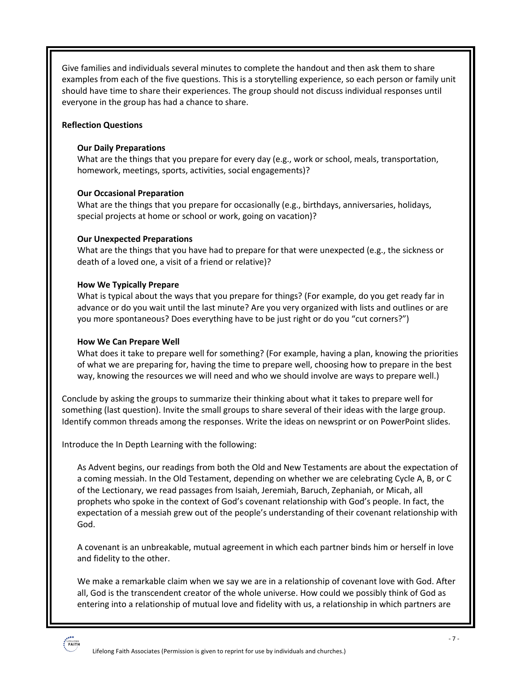Give families and individuals several minutes to complete the handout and then ask them to share examples from each of the five questions. This is a storytelling experience, so each person or family unit should have time to share their experiences. The group should not discuss individual responses until everyone in the group has had a chance to share.

#### **Reflection Questions**

#### **Our Daily Preparations**

What are the things that you prepare for every day (e.g., work or school, meals, transportation, homework, meetings, sports, activities, social engagements)?

#### **Our Occasional Preparation**

What are the things that you prepare for occasionally (e.g., birthdays, anniversaries, holidays, special projects at home or school or work, going on vacation)?

#### **Our Unexpected Preparations**

What are the things that you have had to prepare for that were unexpected (e.g., the sickness or death of a loved one, a visit of a friend or relative)?

#### **How We Typically Prepare**

What is typical about the ways that you prepare for things? (For example, do you get ready far in advance or do you wait until the last minute? Are you very organized with lists and outlines or are you more spontaneous? Does everything have to be just right or do you "cut corners?")

#### **How We Can Prepare Well**

What does it take to prepare well for something? (For example, having a plan, knowing the priorities of what we are preparing for, having the time to prepare well, choosing how to prepare in the best way, knowing the resources we will need and who we should involve are ways to prepare well.)

Conclude by asking the groups to summarize their thinking about what it takes to prepare well for something (last question). Invite the small groups to share several of their ideas with the large group. Identify common threads among the responses. Write the ideas on newsprint or on PowerPoint slides.

Introduce the In Depth Learning with the following:

As Advent begins, our readings from both the Old and New Testaments are about the expectation of a coming messiah. In the Old Testament, depending on whether we are celebrating Cycle A, B, or C of the Lectionary, we read passages from Isaiah, Jeremiah, Baruch, Zephaniah, or Micah, all prophets who spoke in the context of God's covenant relationship with God's people. In fact, the expectation of a messiah grew out of the people's understanding of their covenant relationship with God.

A covenant is an unbreakable, mutual agreement in which each partner binds him or herself in love and fidelity to the other.

We make a remarkable claim when we say we are in a relationship of covenant love with God. After all, God is the transcendent creator of the whole universe. How could we possibly think of God as entering into a relationship of mutual love and fidelity with us, a relationship in which partners are

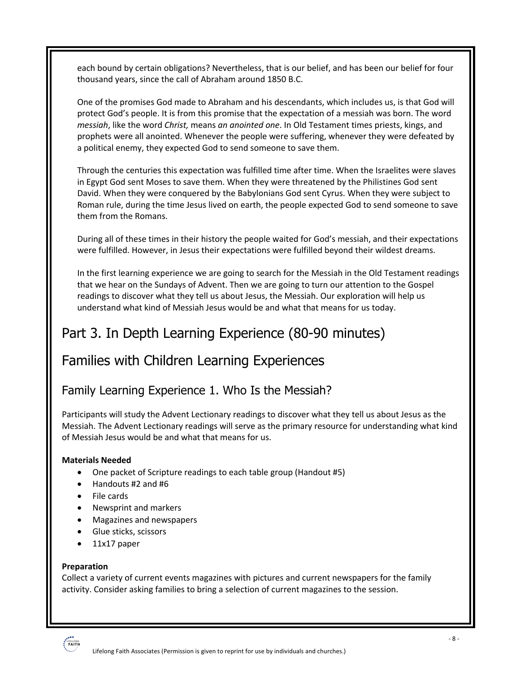each bound by certain obligations? Nevertheless, that is our belief, and has been our belief for four thousand years, since the call of Abraham around 1850 B.C.

One of the promises God made to Abraham and his descendants, which includes us, is that God will protect God's people. It is from this promise that the expectation of a messiah was born. The word *messiah*, like the word *Christ,* means *an anointed one*. In Old Testament times priests, kings, and prophets were all anointed. Whenever the people were suffering, whenever they were defeated by a political enemy, they expected God to send someone to save them.

Through the centuries this expectation was fulfilled time after time. When the Israelites were slaves in Egypt God sent Moses to save them. When they were threatened by the Philistines God sent David. When they were conquered by the Babylonians God sent Cyrus. When they were subject to Roman rule, during the time Jesus lived on earth, the people expected God to send someone to save them from the Romans.

During all of these times in their history the people waited for God's messiah, and their expectations were fulfilled. However, in Jesus their expectations were fulfilled beyond their wildest dreams.

In the first learning experience we are going to search for the Messiah in the Old Testament readings that we hear on the Sundays of Advent. Then we are going to turn our attention to the Gospel readings to discover what they tell us about Jesus, the Messiah. Our exploration will help us understand what kind of Messiah Jesus would be and what that means for us today.

# Part 3. In Depth Learning Experience (80-90 minutes)

# Families with Children Learning Experiences

### Family Learning Experience 1. Who Is the Messiah?

Participants will study the Advent Lectionary readings to discover what they tell us about Jesus as the Messiah. The Advent Lectionary readings will serve as the primary resource for understanding what kind of Messiah Jesus would be and what that means for us.

#### **Materials Needed**

- One packet of Scripture readings to each table group (Handout #5)
- Handouts #2 and #6
- File cards
- Newsprint and markers
- Magazines and newspapers
- Glue sticks, scissors
- 11x17 paper

#### **Preparation**

Collect a variety of current events magazines with pictures and current newspapers for the family activity. Consider asking families to bring a selection of current magazines to the session.

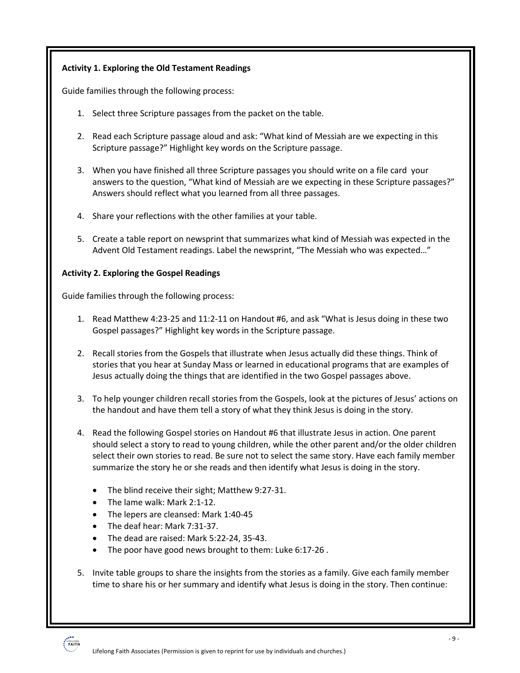#### **Activity 1. Exploring the Old Testament Readings**

Guide families through the following process:

- 1. Select three Scripture passages from the packet on the table.
- 2. Read each Scripture passage aloud and ask: "What kind of Messiah are we expecting in this Scripture passage?" Highlight key words on the Scripture passage.
- 3. When you have finished all three Scripture passages you should write on a file card your answers to the question, "What kind of Messiah are we expecting in these Scripture passages?" Answers should reflect what you learned from all three passages.
- 4. Share your reflections with the other families at your table.
- 5. Create a table report on newsprint that summarizes what kind of Messiah was expected in the Advent Old Testament readings. Label the newsprint, "The Messiah who was expected…"

#### **Activity 2. Exploring the Gospel Readings**

Guide families through the following process:

- 1. Read Matthew 4:23-25 and 11:2-11 on Handout #6, and ask "What is Jesus doing in these two Gospel passages?" Highlight key words in the Scripture passage.
- 2. Recall stories from the Gospels that illustrate when Jesus actually did these things. Think of stories that you hear at Sunday Mass or learned in educational programs that are examples of Jesus actually doing the things that are identified in the two Gospel passages above.
- 3. To help younger children recall stories from the Gospels, look at the pictures of Jesus' actions on the handout and have them tell a story of what they think Jesus is doing in the story.
- 4. Read the following Gospel stories on Handout #6 that illustrate Jesus in action. One parent should select a story to read to young children, while the other parent and/or the older children select their own stories to read. Be sure not to select the same story. Have each family member summarize the story he or she reads and then identify what Jesus is doing in the story.
	- The blind receive their sight; Matthew 9:27-31.
	- The lame walk: Mark 2:1-12.
	- The lepers are cleansed: Mark 1:40-45
	- The deaf hear: Mark 7:31-37.
	- The dead are raised: Mark 5:22-24, 35-43.
	- The poor have good news brought to them: Luke 6:17-26 .
- 5. Invite table groups to share the insights from the stories as a family. Give each family member time to share his or her summary and identify what Jesus is doing in the story. Then continue:

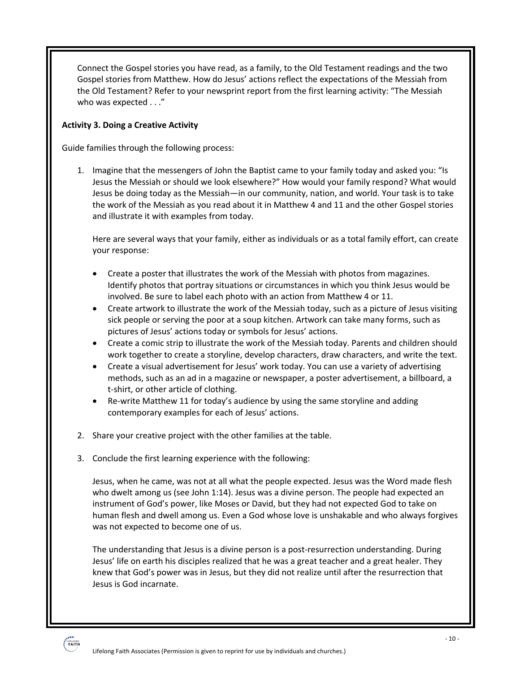Connect the Gospel stories you have read, as a family, to the Old Testament readings and the two Gospel stories from Matthew. How do Jesus' actions reflect the expectations of the Messiah from the Old Testament? Refer to your newsprint report from the first learning activity: "The Messiah who was expected . . ."

#### **Activity 3. Doing a Creative Activity**

Guide families through the following process:

1. Imagine that the messengers of John the Baptist came to your family today and asked you: "Is Jesus the Messiah or should we look elsewhere?" How would your family respond? What would Jesus be doing today as the Messiah—in our community, nation, and world. Your task is to take the work of the Messiah as you read about it in Matthew 4 and 11 and the other Gospel stories and illustrate it with examples from today.

Here are several ways that your family, either as individuals or as a total family effort, can create your response:

- Create a poster that illustrates the work of the Messiah with photos from magazines. Identify photos that portray situations or circumstances in which you think Jesus would be involved. Be sure to label each photo with an action from Matthew 4 or 11.
- Create artwork to illustrate the work of the Messiah today, such as a picture of Jesus visiting sick people or serving the poor at a soup kitchen. Artwork can take many forms, such as pictures of Jesus' actions today or symbols for Jesus' actions.
- Create a comic strip to illustrate the work of the Messiah today. Parents and children should work together to create a storyline, develop characters, draw characters, and write the text.
- Create a visual advertisement for Jesus' work today. You can use a variety of advertising methods, such as an ad in a magazine or newspaper, a poster advertisement, a billboard, a t-shirt, or other article of clothing.
- Re-write Matthew 11 for today's audience by using the same storyline and adding contemporary examples for each of Jesus' actions.
- 2. Share your creative project with the other families at the table.
- 3. Conclude the first learning experience with the following:

Jesus, when he came, was not at all what the people expected. Jesus was the Word made flesh who dwelt among us (see John 1:14). Jesus was a divine person. The people had expected an instrument of God's power, like Moses or David, but they had not expected God to take on human flesh and dwell among us. Even a God whose love is unshakable and who always forgives was not expected to become one of us.

The understanding that Jesus is a divine person is a post-resurrection understanding. During Jesus' life on earth his disciples realized that he was a great teacher and a great healer. They knew that God's power was in Jesus, but they did not realize until after the resurrection that Jesus is God incarnate.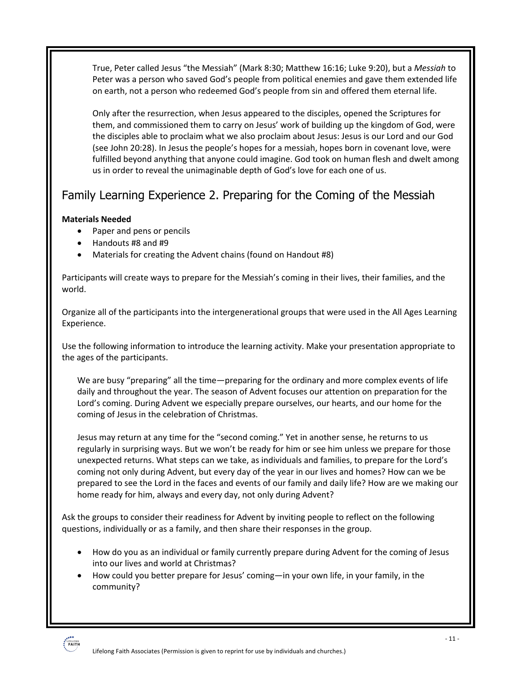True, Peter called Jesus "the Messiah" (Mark 8:30; Matthew 16:16; Luke 9:20), but a *Messiah* to Peter was a person who saved God's people from political enemies and gave them extended life on earth, not a person who redeemed God's people from sin and offered them eternal life.

Only after the resurrection, when Jesus appeared to the disciples, opened the Scriptures for them, and commissioned them to carry on Jesus' work of building up the kingdom of God, were the disciples able to proclaim what we also proclaim about Jesus: Jesus is our Lord and our God (see John 20:28). In Jesus the people's hopes for a messiah, hopes born in covenant love, were fulfilled beyond anything that anyone could imagine. God took on human flesh and dwelt among us in order to reveal the unimaginable depth of God's love for each one of us.

# Family Learning Experience 2. Preparing for the Coming of the Messiah

#### **Materials Needed**

- Paper and pens or pencils
- Handouts #8 and #9
- Materials for creating the Advent chains (found on Handout #8)

Participants will create ways to prepare for the Messiah's coming in their lives, their families, and the world.

Organize all of the participants into the intergenerational groups that were used in the All Ages Learning Experience.

Use the following information to introduce the learning activity. Make your presentation appropriate to the ages of the participants.

We are busy "preparing" all the time—preparing for the ordinary and more complex events of life daily and throughout the year. The season of Advent focuses our attention on preparation for the Lord's coming. During Advent we especially prepare ourselves, our hearts, and our home for the coming of Jesus in the celebration of Christmas.

Jesus may return at any time for the "second coming." Yet in another sense, he returns to us regularly in surprising ways. But we won't be ready for him or see him unless we prepare for those unexpected returns. What steps can we take, as individuals and families, to prepare for the Lord's coming not only during Advent, but every day of the year in our lives and homes? How can we be prepared to see the Lord in the faces and events of our family and daily life? How are we making our home ready for him, always and every day, not only during Advent?

Ask the groups to consider their readiness for Advent by inviting people to reflect on the following questions, individually or as a family, and then share their responses in the group.

- How do you as an individual or family currently prepare during Advent for the coming of Jesus into our lives and world at Christmas?
- How could you better prepare for Jesus' coming—in your own life, in your family, in the community?

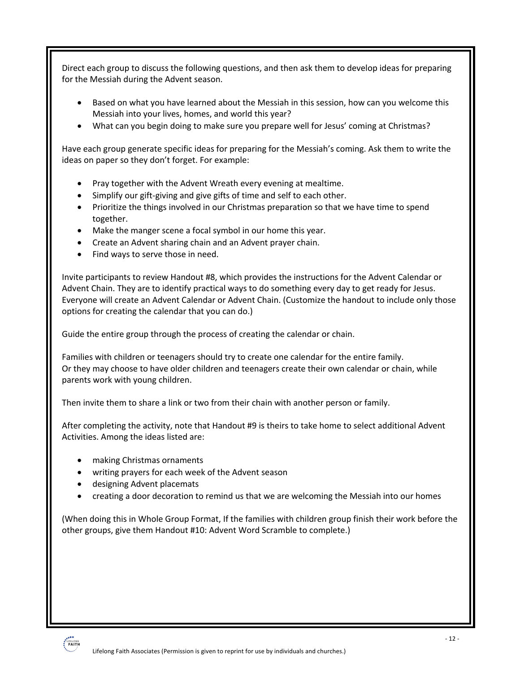Direct each group to discuss the following questions, and then ask them to develop ideas for preparing for the Messiah during the Advent season.

- Based on what you have learned about the Messiah in this session, how can you welcome this Messiah into your lives, homes, and world this year?
- What can you begin doing to make sure you prepare well for Jesus' coming at Christmas?

Have each group generate specific ideas for preparing for the Messiah's coming. Ask them to write the ideas on paper so they don't forget. For example:

- Pray together with the Advent Wreath every evening at mealtime.
- Simplify our gift-giving and give gifts of time and self to each other.
- Prioritize the things involved in our Christmas preparation so that we have time to spend together.
- Make the manger scene a focal symbol in our home this year.
- Create an Advent sharing chain and an Advent prayer chain.
- Find ways to serve those in need.

Invite participants to review Handout #8, which provides the instructions for the Advent Calendar or Advent Chain. They are to identify practical ways to do something every day to get ready for Jesus. Everyone will create an Advent Calendar or Advent Chain. (Customize the handout to include only those options for creating the calendar that you can do.)

Guide the entire group through the process of creating the calendar or chain.

Families with children or teenagers should try to create one calendar for the entire family. Or they may choose to have older children and teenagers create their own calendar or chain, while parents work with young children.

Then invite them to share a link or two from their chain with another person or family.

After completing the activity, note that Handout #9 is theirs to take home to select additional Advent Activities. Among the ideas listed are:

- making Christmas ornaments
- writing prayers for each week of the Advent season
- designing Advent placemats
- creating a door decoration to remind us that we are welcoming the Messiah into our homes

(When doing this in Whole Group Format, If the families with children group finish their work before the other groups, give them Handout #10: Advent Word Scramble to complete.)

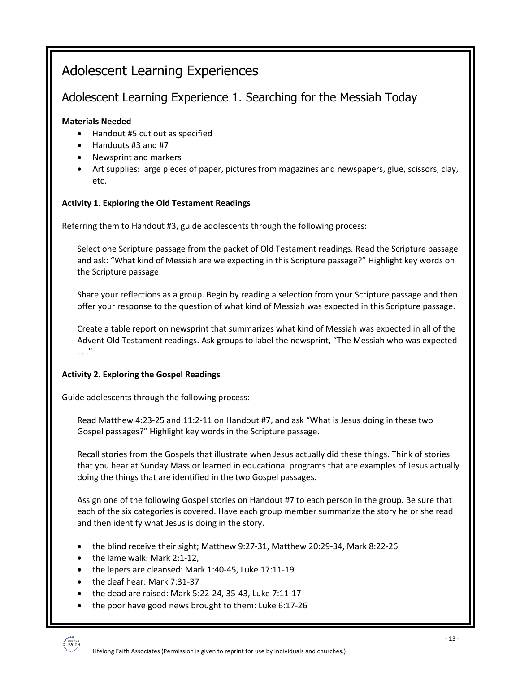# Adolescent Learning Experiences

# Adolescent Learning Experience 1. Searching for the Messiah Today

#### **Materials Needed**

- Handout #5 cut out as specified
- Handouts #3 and #7
- Newsprint and markers
- Art supplies: large pieces of paper, pictures from magazines and newspapers, glue, scissors, clay, etc.

#### **Activity 1. Exploring the Old Testament Readings**

Referring them to Handout #3, guide adolescents through the following process:

Select one Scripture passage from the packet of Old Testament readings. Read the Scripture passage and ask: "What kind of Messiah are we expecting in this Scripture passage?" Highlight key words on the Scripture passage.

Share your reflections as a group. Begin by reading a selection from your Scripture passage and then offer your response to the question of what kind of Messiah was expected in this Scripture passage.

Create a table report on newsprint that summarizes what kind of Messiah was expected in all of the Advent Old Testament readings. Ask groups to label the newsprint, "The Messiah who was expected . . ."

#### **Activity 2. Exploring the Gospel Readings**

Guide adolescents through the following process:

Read Matthew 4:23-25 and 11:2-11 on Handout #7, and ask "What is Jesus doing in these two Gospel passages?" Highlight key words in the Scripture passage.

Recall stories from the Gospels that illustrate when Jesus actually did these things. Think of stories that you hear at Sunday Mass or learned in educational programs that are examples of Jesus actually doing the things that are identified in the two Gospel passages.

Assign one of the following Gospel stories on Handout #7 to each person in the group. Be sure that each of the six categories is covered. Have each group member summarize the story he or she read and then identify what Jesus is doing in the story.

- the blind receive their sight; Matthew 9:27-31, Matthew 20:29-34, Mark 8:22-26
- the lame walk: Mark 2:1-12,
- the lepers are cleansed: Mark 1:40-45, Luke 17:11-19
- the deaf hear: Mark 7:31-37
- the dead are raised: Mark 5:22-24, 35-43, Luke 7:11-17
- the poor have good news brought to them: Luke 6:17-26

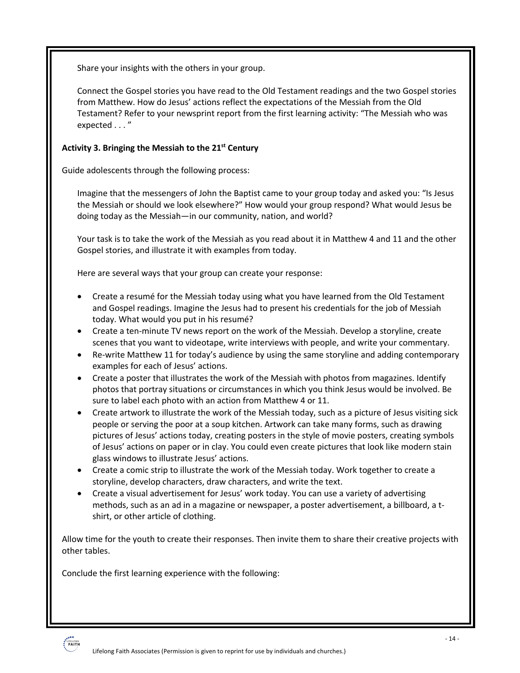Share your insights with the others in your group.

Connect the Gospel stories you have read to the Old Testament readings and the two Gospel stories from Matthew. How do Jesus' actions reflect the expectations of the Messiah from the Old Testament? Refer to your newsprint report from the first learning activity: "The Messiah who was expected . . . "

#### **Activity 3. Bringing the Messiah to the 21st Century**

Guide adolescents through the following process:

Imagine that the messengers of John the Baptist came to your group today and asked you: "Is Jesus the Messiah or should we look elsewhere?" How would your group respond? What would Jesus be doing today as the Messiah—in our community, nation, and world?

Your task is to take the work of the Messiah as you read about it in Matthew 4 and 11 and the other Gospel stories, and illustrate it with examples from today.

Here are several ways that your group can create your response:

- Create a resumé for the Messiah today using what you have learned from the Old Testament and Gospel readings. Imagine the Jesus had to present his credentials for the job of Messiah today. What would you put in his resumé?
- Create a ten-minute TV news report on the work of the Messiah. Develop a storyline, create scenes that you want to videotape, write interviews with people, and write your commentary.
- Re-write Matthew 11 for today's audience by using the same storyline and adding contemporary examples for each of Jesus' actions.
- Create a poster that illustrates the work of the Messiah with photos from magazines. Identify photos that portray situations or circumstances in which you think Jesus would be involved. Be sure to label each photo with an action from Matthew 4 or 11.
- Create artwork to illustrate the work of the Messiah today, such as a picture of Jesus visiting sick people or serving the poor at a soup kitchen. Artwork can take many forms, such as drawing pictures of Jesus' actions today, creating posters in the style of movie posters, creating symbols of Jesus' actions on paper or in clay. You could even create pictures that look like modern stain glass windows to illustrate Jesus' actions.
- Create a comic strip to illustrate the work of the Messiah today. Work together to create a storyline, develop characters, draw characters, and write the text.
- Create a visual advertisement for Jesus' work today. You can use a variety of advertising methods, such as an ad in a magazine or newspaper, a poster advertisement, a billboard, a tshirt, or other article of clothing.

Allow time for the youth to create their responses. Then invite them to share their creative projects with other tables.

Conclude the first learning experience with the following:

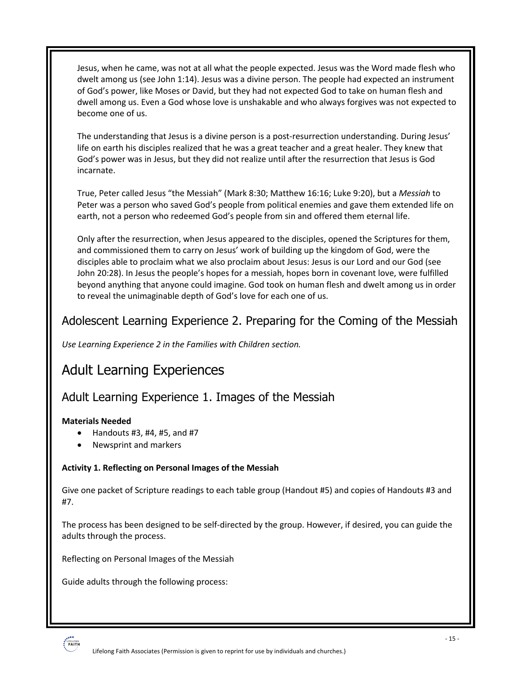Jesus, when he came, was not at all what the people expected. Jesus was the Word made flesh who dwelt among us (see John 1:14). Jesus was a divine person. The people had expected an instrument of God's power, like Moses or David, but they had not expected God to take on human flesh and dwell among us. Even a God whose love is unshakable and who always forgives was not expected to become one of us.

The understanding that Jesus is a divine person is a post-resurrection understanding. During Jesus' life on earth his disciples realized that he was a great teacher and a great healer. They knew that God's power was in Jesus, but they did not realize until after the resurrection that Jesus is God incarnate.

True, Peter called Jesus "the Messiah" (Mark 8:30; Matthew 16:16; Luke 9:20), but a *Messiah* to Peter was a person who saved God's people from political enemies and gave them extended life on earth, not a person who redeemed God's people from sin and offered them eternal life.

Only after the resurrection, when Jesus appeared to the disciples, opened the Scriptures for them, and commissioned them to carry on Jesus' work of building up the kingdom of God, were the disciples able to proclaim what we also proclaim about Jesus: Jesus is our Lord and our God (see John 20:28). In Jesus the people's hopes for a messiah, hopes born in covenant love, were fulfilled beyond anything that anyone could imagine. God took on human flesh and dwelt among us in order to reveal the unimaginable depth of God's love for each one of us.

### Adolescent Learning Experience 2. Preparing for the Coming of the Messiah

*Use Learning Experience 2 in the Families with Children section.*

# Adult Learning Experiences

### Adult Learning Experience 1. Images of the Messiah

#### **Materials Needed**

- Handouts #3, #4, #5, and #7
- Newsprint and markers

#### **Activity 1. Reflecting on Personal Images of the Messiah**

Give one packet of Scripture readings to each table group (Handout #5) and copies of Handouts #3 and #7.

The process has been designed to be self-directed by the group. However, if desired, you can guide the adults through the process.

Reflecting on Personal Images of the Messiah

Guide adults through the following process:

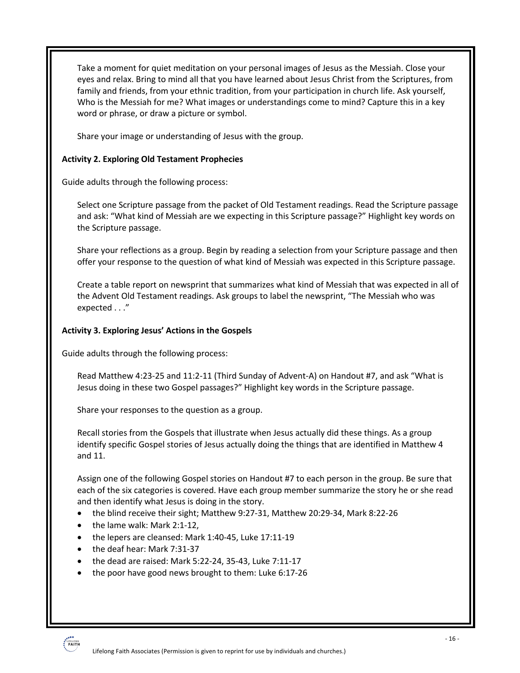Take a moment for quiet meditation on your personal images of Jesus as the Messiah. Close your eyes and relax. Bring to mind all that you have learned about Jesus Christ from the Scriptures, from family and friends, from your ethnic tradition, from your participation in church life. Ask yourself, Who is the Messiah for me? What images or understandings come to mind? Capture this in a key word or phrase, or draw a picture or symbol.

Share your image or understanding of Jesus with the group.

#### **Activity 2. Exploring Old Testament Prophecies**

Guide adults through the following process:

Select one Scripture passage from the packet of Old Testament readings. Read the Scripture passage and ask: "What kind of Messiah are we expecting in this Scripture passage?" Highlight key words on the Scripture passage.

Share your reflections as a group. Begin by reading a selection from your Scripture passage and then offer your response to the question of what kind of Messiah was expected in this Scripture passage.

Create a table report on newsprint that summarizes what kind of Messiah that was expected in all of the Advent Old Testament readings. Ask groups to label the newsprint, "The Messiah who was expected . . ."

#### **Activity 3. Exploring Jesus' Actions in the Gospels**

Guide adults through the following process:

Read Matthew 4:23-25 and 11:2-11 (Third Sunday of Advent-A) on Handout #7, and ask "What is Jesus doing in these two Gospel passages?" Highlight key words in the Scripture passage.

Share your responses to the question as a group.

Recall stories from the Gospels that illustrate when Jesus actually did these things. As a group identify specific Gospel stories of Jesus actually doing the things that are identified in Matthew 4 and 11.

Assign one of the following Gospel stories on Handout #7 to each person in the group. Be sure that each of the six categories is covered. Have each group member summarize the story he or she read and then identify what Jesus is doing in the story.

- the blind receive their sight; Matthew 9:27-31, Matthew 20:29-34, Mark 8:22-26
- the lame walk: Mark 2:1-12,
- the lepers are cleansed: Mark 1:40-45, Luke 17:11-19
- the deaf hear: Mark 7:31-37
- the dead are raised: Mark 5:22-24, 35-43, Luke 7:11-17
- the poor have good news brought to them: Luke 6:17-26

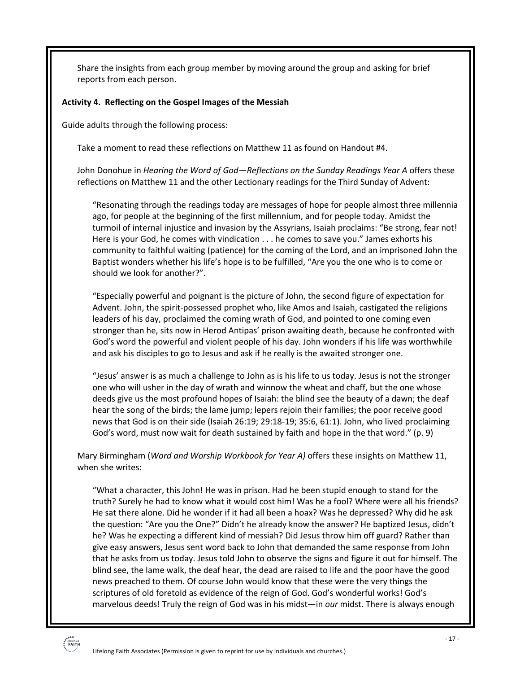Share the insights from each group member by moving around the group and asking for brief reports from each person.

#### **Activity 4. Reflecting on the Gospel Images of the Messiah**

Guide adults through the following process:

Take a moment to read these reflections on Matthew 11 as found on Handout #4.

John Donohue in *Hearing the Word of God—Reflections on the Sunday Readings Year A* offers these reflections on Matthew 11 and the other Lectionary readings for the Third Sunday of Advent:

"Resonating through the readings today are messages of hope for people almost three millennia ago, for people at the beginning of the first millennium, and for people today. Amidst the turmoil of internal injustice and invasion by the Assyrians, Isaiah proclaims: "Be strong, fear not! Here is your God, he comes with vindication . . . he comes to save you." James exhorts his community to faithful waiting (patience) for the coming of the Lord, and an imprisoned John the Baptist wonders whether his life's hope is to be fulfilled, "Are you the one who is to come or should we look for another?".

"Especially powerful and poignant is the picture of John, the second figure of expectation for Advent. John, the spirit-possessed prophet who, like Amos and Isaiah, castigated the religions leaders of his day, proclaimed the coming wrath of God, and pointed to one coming even stronger than he, sits now in Herod Antipas' prison awaiting death, because he confronted with God's word the powerful and violent people of his day. John wonders if his life was worthwhile and ask his disciples to go to Jesus and ask if he really is the awaited stronger one.

"Jesus' answer is as much a challenge to John as is his life to us today. Jesus is not the stronger one who will usher in the day of wrath and winnow the wheat and chaff, but the one whose deeds give us the most profound hopes of Isaiah: the blind see the beauty of a dawn; the deaf hear the song of the birds; the lame jump; lepers rejoin their families; the poor receive good news that God is on their side (Isaiah 26:19; 29:18-19; 35:6, 61:1). John, who lived proclaiming God's word, must now wait for death sustained by faith and hope in the that word." (p. 9)

Mary Birmingham (*Word and Worship Workbook for Year A)* offers these insights on Matthew 11, when she writes:

"What a character, this John! He was in prison. Had he been stupid enough to stand for the truth? Surely he had to know what it would cost him! Was he a fool? Where were all his friends? He sat there alone. Did he wonder if it had all been a hoax? Was he depressed? Why did he ask the question: "Are you the One?" Didn't he already know the answer? He baptized Jesus, didn't he? Was he expecting a different kind of messiah? Did Jesus throw him off guard? Rather than give easy answers, Jesus sent word back to John that demanded the same response from John that he asks from us today. Jesus told John to observe the signs and figure it out for himself. The blind see, the lame walk, the deaf hear, the dead are raised to life and the poor have the good news preached to them. Of course John would know that these were the very things the scriptures of old foretold as evidence of the reign of God. God's wonderful works! God's marvelous deeds! Truly the reign of God was in his midst—in *our* midst. There is always enough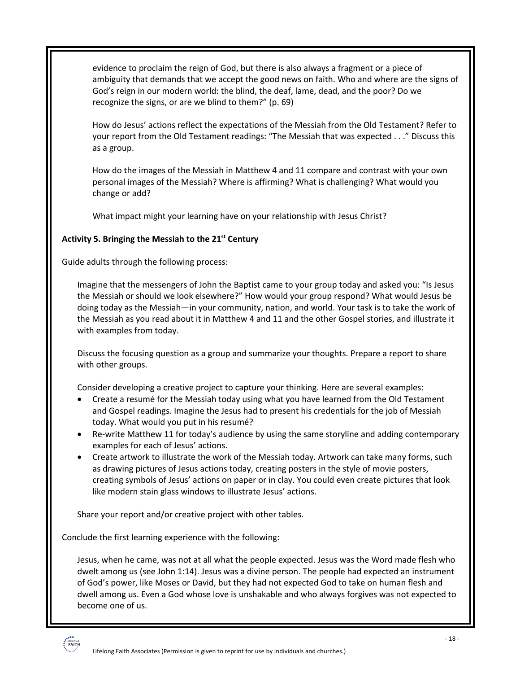evidence to proclaim the reign of God, but there is also always a fragment or a piece of ambiguity that demands that we accept the good news on faith. Who and where are the signs of God's reign in our modern world: the blind, the deaf, lame, dead, and the poor? Do we recognize the signs, or are we blind to them?" (p. 69)

How do Jesus' actions reflect the expectations of the Messiah from the Old Testament? Refer to your report from the Old Testament readings: "The Messiah that was expected . . ." Discuss this as a group.

How do the images of the Messiah in Matthew 4 and 11 compare and contrast with your own personal images of the Messiah? Where is affirming? What is challenging? What would you change or add?

What impact might your learning have on your relationship with Jesus Christ?

#### **Activity 5. Bringing the Messiah to the 21st Century**

Guide adults through the following process:

Imagine that the messengers of John the Baptist came to your group today and asked you: "Is Jesus the Messiah or should we look elsewhere?" How would your group respond? What would Jesus be doing today as the Messiah—in your community, nation, and world. Your task is to take the work of the Messiah as you read about it in Matthew 4 and 11 and the other Gospel stories, and illustrate it with examples from today.

Discuss the focusing question as a group and summarize your thoughts. Prepare a report to share with other groups.

Consider developing a creative project to capture your thinking. Here are several examples:

- Create a resumé for the Messiah today using what you have learned from the Old Testament and Gospel readings. Imagine the Jesus had to present his credentials for the job of Messiah today. What would you put in his resumé?
- Re-write Matthew 11 for today's audience by using the same storyline and adding contemporary examples for each of Jesus' actions.
- Create artwork to illustrate the work of the Messiah today. Artwork can take many forms, such as drawing pictures of Jesus actions today, creating posters in the style of movie posters, creating symbols of Jesus' actions on paper or in clay. You could even create pictures that look like modern stain glass windows to illustrate Jesus' actions.

Share your report and/or creative project with other tables.

Conclude the first learning experience with the following:

Jesus, when he came, was not at all what the people expected. Jesus was the Word made flesh who dwelt among us (see John 1:14). Jesus was a divine person. The people had expected an instrument of God's power, like Moses or David, but they had not expected God to take on human flesh and dwell among us. Even a God whose love is unshakable and who always forgives was not expected to become one of us.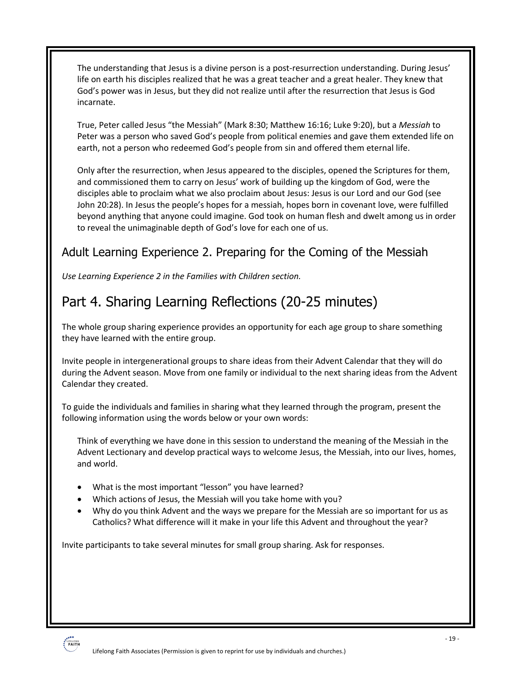The understanding that Jesus is a divine person is a post-resurrection understanding. During Jesus' life on earth his disciples realized that he was a great teacher and a great healer. They knew that God's power was in Jesus, but they did not realize until after the resurrection that Jesus is God incarnate.

True, Peter called Jesus "the Messiah" (Mark 8:30; Matthew 16:16; Luke 9:20), but a *Messiah* to Peter was a person who saved God's people from political enemies and gave them extended life on earth, not a person who redeemed God's people from sin and offered them eternal life.

Only after the resurrection, when Jesus appeared to the disciples, opened the Scriptures for them, and commissioned them to carry on Jesus' work of building up the kingdom of God, were the disciples able to proclaim what we also proclaim about Jesus: Jesus is our Lord and our God (see John 20:28). In Jesus the people's hopes for a messiah, hopes born in covenant love, were fulfilled beyond anything that anyone could imagine. God took on human flesh and dwelt among us in order to reveal the unimaginable depth of God's love for each one of us.

# Adult Learning Experience 2. Preparing for the Coming of the Messiah

*Use Learning Experience 2 in the Families with Children section.*

# Part 4. Sharing Learning Reflections (20-25 minutes)

The whole group sharing experience provides an opportunity for each age group to share something they have learned with the entire group.

Invite people in intergenerational groups to share ideas from their Advent Calendar that they will do during the Advent season. Move from one family or individual to the next sharing ideas from the Advent Calendar they created.

To guide the individuals and families in sharing what they learned through the program, present the following information using the words below or your own words:

Think of everything we have done in this session to understand the meaning of the Messiah in the Advent Lectionary and develop practical ways to welcome Jesus, the Messiah, into our lives, homes, and world.

- What is the most important "lesson" you have learned?
- Which actions of Jesus, the Messiah will you take home with you?
- Why do you think Advent and the ways we prepare for the Messiah are so important for us as Catholics? What difference will it make in your life this Advent and throughout the year?

Invite participants to take several minutes for small group sharing. Ask for responses.

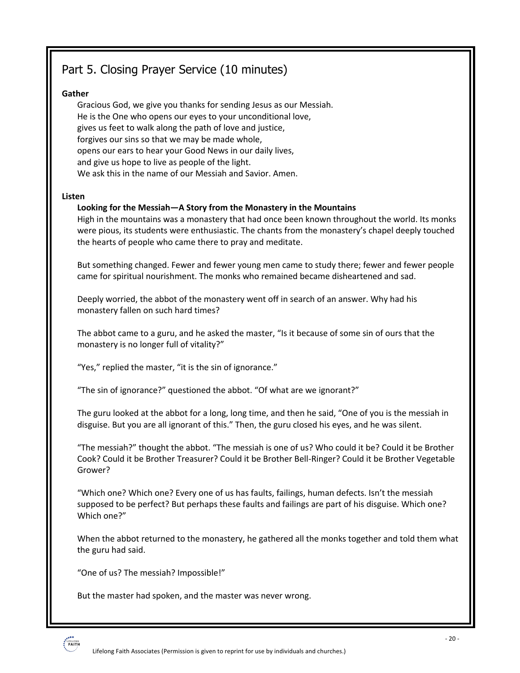# Part 5. Closing Prayer Service (10 minutes)

#### **Gather**

Gracious God, we give you thanks for sending Jesus as our Messiah. He is the One who opens our eyes to your unconditional love, gives us feet to walk along the path of love and justice, forgives our sins so that we may be made whole, opens our ears to hear your Good News in our daily lives, and give us hope to live as people of the light. We ask this in the name of our Messiah and Savior. Amen.

#### **Listen**

#### **Looking for the Messiah—A Story from the Monastery in the Mountains**

High in the mountains was a monastery that had once been known throughout the world. Its monks were pious, its students were enthusiastic. The chants from the monastery's chapel deeply touched the hearts of people who came there to pray and meditate.

But something changed. Fewer and fewer young men came to study there; fewer and fewer people came for spiritual nourishment. The monks who remained became disheartened and sad.

Deeply worried, the abbot of the monastery went off in search of an answer. Why had his monastery fallen on such hard times?

The abbot came to a guru, and he asked the master, "Is it because of some sin of ours that the monastery is no longer full of vitality?"

"Yes," replied the master, "it is the sin of ignorance."

"The sin of ignorance?" questioned the abbot. "Of what are we ignorant?"

The guru looked at the abbot for a long, long time, and then he said, "One of you is the messiah in disguise. But you are all ignorant of this." Then, the guru closed his eyes, and he was silent.

"The messiah?" thought the abbot. "The messiah is one of us? Who could it be? Could it be Brother Cook? Could it be Brother Treasurer? Could it be Brother Bell-Ringer? Could it be Brother Vegetable Grower?

"Which one? Which one? Every one of us has faults, failings, human defects. Isn't the messiah supposed to be perfect? But perhaps these faults and failings are part of his disguise. Which one? Which one?"

When the abbot returned to the monastery, he gathered all the monks together and told them what the guru had said.

"One of us? The messiah? Impossible!"

But the master had spoken, and the master was never wrong.